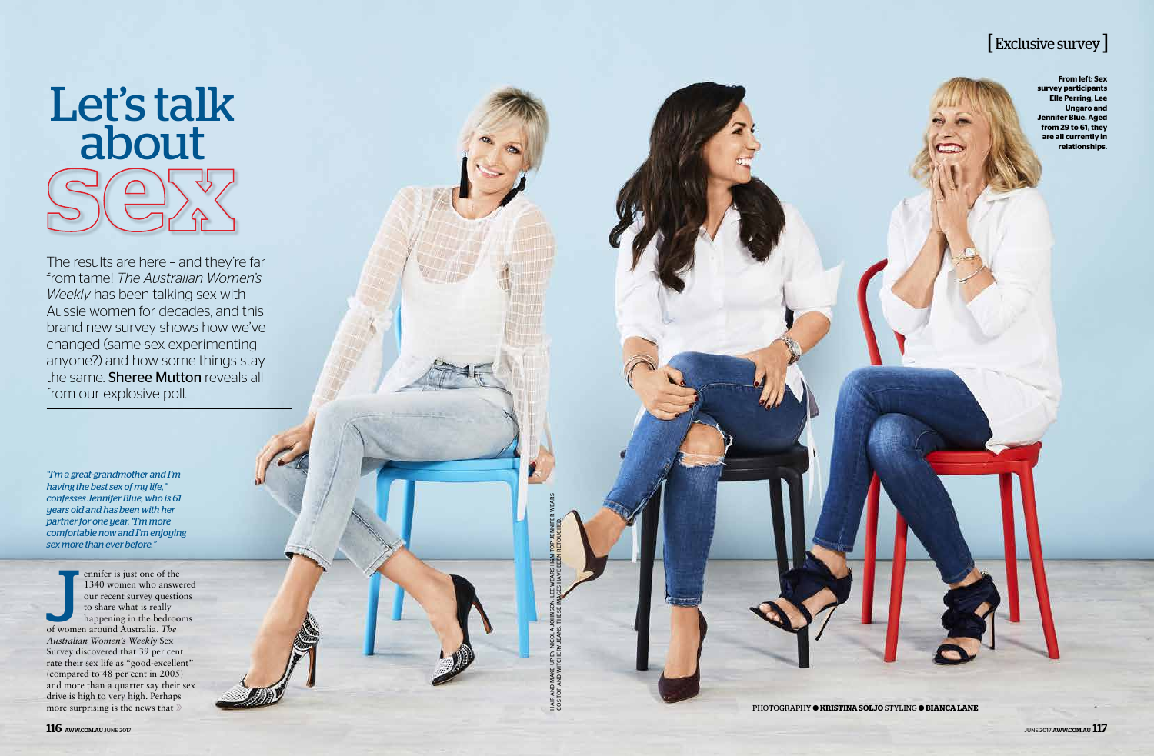**From left: Sex survey participants Elle Perring, Lee Ungaro and Jennifer Blue. Aged from 29 to 61, they are all currently in relationships.**

PHOTOGRAPHY ● **KRISTINA SOLJO** STYLING ● **BIANCA LANE**

*"I'm a great-grandmother and I'm having the best sex of my life," confesses Jennifer Blue, who is 61 years old and has been with her partner for one year. "I'm more comfortable now and I'm enjoying sex more than ever before."*

ennifer is just one of the<br>1340 women who answ<br>our recent survey questi<br>to share what is really<br>happening in the bedroc<br>of women around Australia. The ennifer is just one of the 1340 women who answered our recent survey questions to share what is really happening in the bedrooms *Australian Women's Weekly* Sex Survey discovered that 39 per cent rate their sex life as "good-excellent" (compared to 48 per cent in 2005) and more than a quarter say their sex drive is high to very high. Perhaps more surprising is the news that  $\gg$ 



The results are here – and they're far from tame! *The Australian Women's Weekly* has been talking sex with Aussie women for decades, and this brand new survey shows how we've changed (same-sex experimenting anyone?) and how some things stay the same. **Sheree Mutton** reveals all from our explosive poll.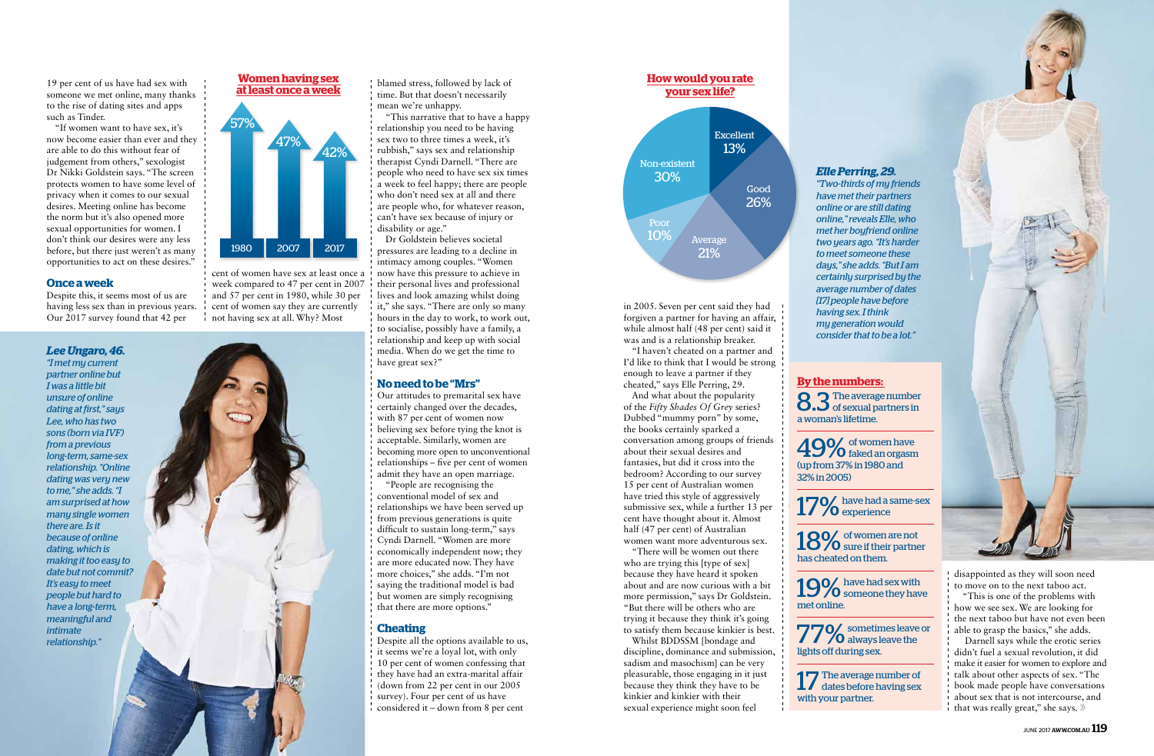19 per cent of us have had sex with someone we met online, many thanks to the rise of dating sites and apps such as Tinder.

"If women want to have sex, it's now become easier than ever and they are able to do this without fear of judgement from others," sexologist Dr Nikki Goldstein says. "The screen protects women to have some level of privacy when it comes to our sexual desires. Meeting online has become the norm but it's also opened more sexual opportunities for women. I don't think our desires were any less before, but there just weren't as many opportunities to act on these desires."

### **Once a week**

Despite this, it seems most of us are having less sex than in previous years. Our 2017 survey found that 42 per

blamed stress, followed by lack of

mean we're unhappy.

disability or age."

have great sex?"

Our attitudes to premarital sex have certainly changed over the decades, with 87 per cent of women now believing sex before tying the knot is acceptable. Similarly, women are becoming more open to unconventional relationships – five per cent of women admit they have an open marriage. "People are recognising the conventional model of sex and relationships we have been served up from previous generations is quite difficult to sustain long-term," says Cyndi Darnell. "Women are more economically independent now; they are more educated now. They have more choices," she adds. "I'm not saying the traditional model is bad but women are simply recognising that there are more options."

"This narrative that to have a happy relationship you need to be having sex two to three times a week, it's rubbish," says sex and relationship therapist Cyndi Darnell. "There are people who need to have sex six times a week to feel happy; there are people who don't need sex at all and there are people who, for whatever reason, can't have sex because of injury or

Despite all the options available to us, it seems we're a loyal lot, with only 10 per cent of women confessing that they have had an extra-marital affair (down from 22 per cent in our 2005 survey). Four per cent of us have considered it – down from 8 per cent

# **By the numbers:**  8.3 The average number<br>8.3 of sexual partners in

Dr Goldstein believes societal pressures are leading to a decline in intimacy among couples. "Women now have this pressure to achieve in their personal lives and professional lives and look amazing whilst doing it," she says. "There are only so many hours in the day to work, to work out, to socialise, possibly have a family, a relationship and keep up with social media. When do we get the time to

> $18\%$  of women are not sure if their partner has cheated on them.

 $19\%$  have had sex with someone they have met online.

77% sometimes leave or lights off during sex.

**No need to be "Mrs"**

### **Cheating**

a woman's lifetime. 49% of women have<br>disked an orgasm (up from 37% in 1980 and

> Darnell says while the erotic series didn't fuel a sexual revolution, it did make it easier for women to explore and talk about other aspects of sex. "The book made people have conversations about sex that is not intercourse, and that was really great," she says.  $\gg$

32% in 2005)

 $17\%$  have had a same-sex

always leave the



17 The average number of dates before having sex with your partner.

### *Lee Ungaro, 46.*

*"I met my current partner online but I was a little bit unsure of online dating at first," says Lee, who has two sons (born via IVF) from a previous long-term, same-sex relationship. "Online dating was very new to me," she adds. "I am surprised at how many single women there are. Is it because of online dating, which is making it too easy to date but not commit? It's easy to meet people but hard to have a long-term, meaningful and intimate relationship."*



# *Elle Perring, 29.*

*"Two-thirds of my friends have met their partners online or are still dating online," reveals Elle, who met her boyfriend online two years ago. "It's harder to meet someone these days," she adds. "But I am certainly surprised by the average number of dates [17] people have before having sex. I think my generation would consider that to be a lot."* 

in 2005. Seven per cent said they had forgiven a partner for having an affair, while almost half (48 per cent) said it was and is a relationship breaker.

"I haven't cheated on a partner and I'd like to think that I would be strong enough to leave a partner if they cheated," says Elle Perring, 29.

And what about the popularity of the *Fifty Shades Of Grey* series? Dubbed "mummy porn" by some, the books certainly sparked a conversation among groups of friends about their sexual desires and fantasies, but did it cross into the bedroom? According to our survey 15 per cent of Australian women have tried this style of aggressively submissive sex, while a further 13 per cent have thought about it. Almost half (47 per cent) of Australian women want more adventurous sex.

"There will be women out there who are trying this [type of sex]

because they have heard it spoken about and are now curious with a bit more permission," says Dr Goldstein. "But there will be others who are trying it because they think it's going to satisfy them because kinkier is best.

Whilst BDDSSM [bondage and discipline, dominance and submission, sadism and masochism] can be very pleasurable, those engaging in it just because they think they have to be kinkier and kinkier with their sexual experience might soon feel

disappointed as they will soon need to move on to the next taboo act.

"This is one of the problems with how we see sex. We are looking for the next taboo but have not even been able to grasp the basics," she adds.

cent of women have sex at least once a week compared to 47 per cent in 2007 and 57 per cent in 1980, while 30 per cent of women say they are currently not having sex at all. Why? Most

## **Women having sex at least once a week**